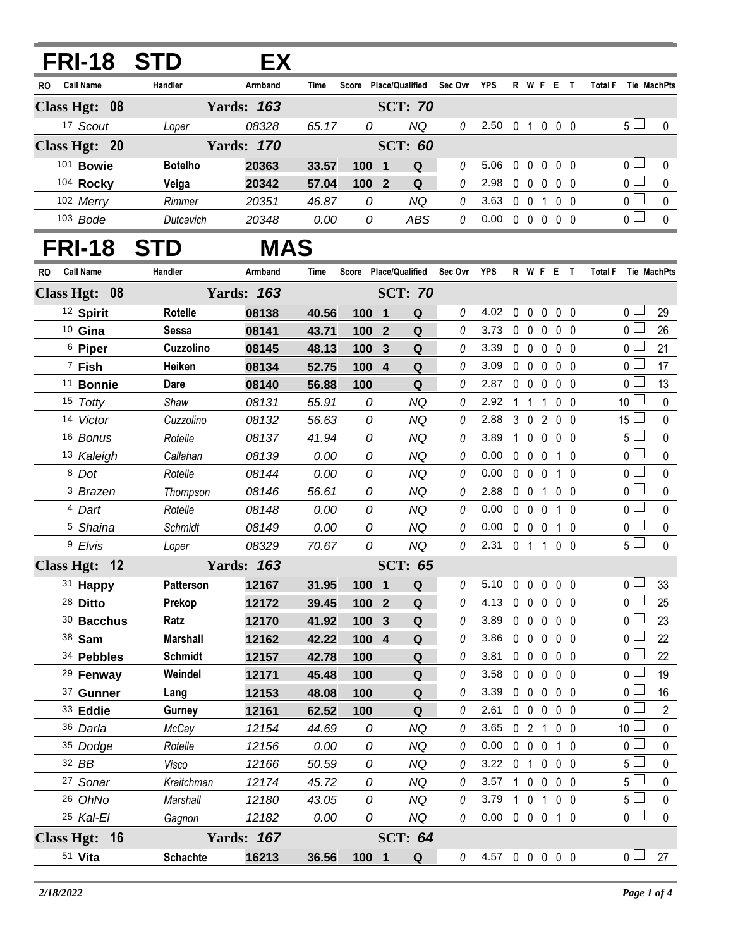| <b>FRI-18 STD</b>       |                     | EX                |                |                       |                |                |         |                            |                |                               |              |                                 |                |                                  |                          |
|-------------------------|---------------------|-------------------|----------------|-----------------------|----------------|----------------|---------|----------------------------|----------------|-------------------------------|--------------|---------------------------------|----------------|----------------------------------|--------------------------|
| Call Name<br>RO.        | Handler             | Armband           | <b>Time</b>    | Score Place/Qualified |                |                | Sec Ovr | <b>YPS</b>                 |                |                               |              | R W F E T                       | <b>Total F</b> |                                  | Tie MachPts              |
| Class Hgt: 08           |                     | <b>Yards: 163</b> |                |                       |                | <b>SCT: 70</b> |         |                            |                |                               |              |                                 |                |                                  |                          |
| 17 Scout                | Loper               | 08328             | 65.17          | 0                     |                | <b>NQ</b>      | 0       | 2.50 0 1 0 0 0             |                |                               |              |                                 |                | 5 <sub>1</sub>                   | 0                        |
| Class Hgt: 20           |                     | <b>Yards: 170</b> |                |                       |                | <b>SCT: 60</b> |         |                            |                |                               |              |                                 |                |                                  |                          |
| 101 Bowie               | <b>Botelho</b>      | 20363             | 33.57          | 100 1                 |                | Q              | 0       | 5.06                       |                |                               |              | 00000                           |                | 0 <sub>l</sub>                   | 0                        |
| 104 Rocky               | Veiga               | 20342             | 57.04          | 100 2                 |                | $\mathbf Q$    | 0       | 2.98                       |                | $0\quad 0$                    | $\mathbf{0}$ | 0 <sub>0</sub>                  |                | $\overline{0}$                   | $\pmb{0}$                |
| 102 Merry               | Rimmer              | 20351             | 46.87          | 0                     |                | <b>NQ</b>      | 0       | 3.63 0 0 1 0 0             |                |                               |              |                                 |                | $\overline{0}$                   | $\mathbf 0$              |
| 103 Bode                | Dutcavich           | 20348             | 0.00           | 0                     |                | ABS            | 0       | $0.00 \t0 \t0 \t0 \t0 \t0$ |                |                               |              |                                 |                | 0 <sup>5</sup>                   | $\mathbf 0$              |
| <b>FRI-18</b>           | <b>STD</b>          | <b>MAS</b>        |                |                       |                |                |         |                            |                |                               |              |                                 |                |                                  |                          |
| <b>Call Name</b><br>RO  | Handler             | Armband           | Time           | Score Place/Qualified |                |                | Sec Ovr | YPS                        |                |                               |              | R W F E T                       | <b>Total F</b> |                                  | Tie MachPts              |
| Class Hgt: 08           |                     | <b>Yards: 163</b> |                |                       |                | <b>SCT: 70</b> |         |                            |                |                               |              |                                 |                |                                  |                          |
| <sup>12</sup> Spirit    | Rotelle             | 08138             | 40.56          | 100 1                 |                | Q              | 0       | 4.02                       | $\mathbf 0$    |                               |              | $0\quad 0\quad 0\quad 0$        |                | 0 <sup>1</sup>                   | 29                       |
| 10 Gina                 | <b>Sessa</b>        | 08141             | 43.71          | 100 <sub>2</sub>      |                | Q              | 0       | 3.73                       |                |                               |              | 00000                           |                | $0\perp$                         | 26                       |
| <sup>6</sup> Piper      | Cuzzolino           | 08145             | 48.13          | 100                   | 3              | Q              | 0       | 3.39                       |                | $0\quad 0$                    | $\mathbf 0$  | 0 <sub>0</sub>                  |                | 0 <sub>0</sub>                   | 21                       |
| 7 Fish                  | Heiken              | 08134             | 52.75          | 100                   | $\overline{4}$ | ${\bf Q}$      | 0       | 3.09                       |                | $0\quad 0$                    | $\mathbf 0$  | $0\quad 0$                      |                | $0\perp$                         | 17                       |
| <sup>11</sup> Bonnie    | Dare                | 08140             | 56.88          | 100                   |                | Q              | 0       | 2.87                       |                | $0\quad 0$                    | $\mathbf 0$  | 0 <sub>0</sub>                  |                | 0 <sup>2</sup>                   | 13                       |
| 15 Totty                | Shaw                | 08131             | 55.91          | 0                     |                | <b>NQ</b>      | 0       | 2.92                       | 1              | $\overline{1}$                | $\mathbf{1}$ | 0 <sub>0</sub>                  |                | 10 $\Box$                        | $\pmb{0}$                |
| 14 Victor               | Cuzzolino           | 08132             | 56.63          | 0                     |                | NQ             | 0       | 2.88                       |                |                               |              | 3 0 2 0 0                       |                | $15\perp$                        | $\pmb{0}$                |
| 16 Bonus                | Rotelle             | 08137             | 41.94          | 0                     |                | NQ             | 0       | 3.89                       | 1              | $\mathbf 0$                   | $\mathbf 0$  | $0\quad 0$                      |                | 5 <sub>0</sub>                   | $\pmb{0}$                |
| 13 Kaleigh              | Callahan            | 08139             | 0.00           | 0                     |                | NQ             | 0       | 0.00                       |                | $0\quad 0$                    | $\mathbf 0$  | 1 0                             |                | $\overline{0}$                   | $\pmb{0}$                |
| 8 Dot                   | Rotelle             | 08144             | 0.00           | 0                     |                | <b>NQ</b>      | 0       | 0.00                       |                | $0\quad 0\quad 0$             |              | $1\quad0$                       |                | $\overline{0}$                   | $\pmb{0}$                |
| <sup>3</sup> Brazen     | Thompson            | 08146             | 56.61          | 0                     |                | NQ             | 0       | 2.88                       |                | 0 <sub>0</sub>                |              | 1 0 0                           |                | $\overline{0}$                   | $\pmb{0}$                |
| <sup>4</sup> Dart       | Rotelle             | 08148             | 0.00           | 0                     |                | NQ             | 0       | 0.00                       |                | $0\quad 0$                    | $\mathbf 0$  | 10                              |                | $\overline{0}$                   | $\pmb{0}$                |
| <sup>5</sup> Shaina     | Schmidt             | 08149             | 0.00           | 0                     |                | NQ             | 0       | 0.00                       | $\mathbf 0$    | $\mathbf 0$                   | 0            | 0<br>1                          |                | $\overline{0}$                   | $\pmb{0}$                |
| 9 Elvis                 | Loper               | 08329             | 70.67          | 0                     |                | <b>NQ</b>      | 0       | $2.31 \t 0 \t 1$           |                |                               | $\mathbf{1}$ | 00                              |                | 5 <sub>1</sub>                   | $\mathbf 0$              |
| <b>Class Hgt:</b><br>12 |                     | <b>Yards: 163</b> |                |                       |                | <b>SCT: 65</b> |         |                            |                |                               |              |                                 |                |                                  |                          |
| 31 Happy                | <b>Patterson</b>    | 12167             | 31.95          | 100 1                 |                | Q              | 0       | 5.10                       | 0              | $\mathbf 0$                   | 0            | $0\quad 0$                      |                | 0 <sup>5</sup>                   | 33                       |
| 28 Ditto                | Prekop              | 12172             | 39.45          | 100 2                 |                | $\mathbf Q$    | 0       | 4.13                       | $\mathbf{0}$   | $\mathbf 0$                   | $\mathbf 0$  | $0\quad 0$                      |                | $\overline{0}$                   | 25                       |
| 30 Bacchus              | Ratz                | 12170             | 41.92          | 100                   | $\mathbf{3}$   | ${\bf Q}$      | 0       | 3.89                       |                | $0\quad 0$                    |              | $0\quad 0\quad 0$               |                | 0 L                              | 23                       |
| 38 Sam                  | <b>Marshall</b>     | 12162             | 42.22          | 100 4                 |                | $\mathbf Q$    | 0       | 3.86                       |                | $0\quad 0$                    | $\mathbf 0$  | $0\quad 0$                      |                | 0 <sub>0</sub>                   | 22                       |
| 34 Pebbles              | <b>Schmidt</b>      | 12157             | 42.78          | 100                   |                | Q              | 0       | 3.81                       |                | $0\quad 0$                    | $\mathbf 0$  | $0\quad 0$                      |                | 0 L                              | 22                       |
| <sup>29</sup> Fenway    | Weindel             | 12171             | 45.48          | 100                   |                | ${\bf Q}$      | 0       | 3.58                       |                | $0\quad 0$                    | $\mathbf 0$  | $0\quad 0$                      |                | 0 <sub>0</sub>                   | 19                       |
| 37 Gunner               | Lang                | 12153             | 48.08          | 100                   |                | Q              | 0       | 3.39                       |                | $0\quad 0$                    |              | $0\quad 0\quad 0$               |                | 0 <sub>0</sub><br>$\overline{0}$ | 16                       |
| 33 Eddie                | Gurney              | 12161             | 62.52          | 100                   |                | Q              | 0       | 2.61                       |                | $0\quad 0$                    | $\mathbf 0$  | $0\quad 0$                      |                | 10 <sup>1</sup>                  | $\overline{2}$           |
| 36 Darla                | McCay               | 12154             | 44.69          | 0                     |                | <b>NQ</b>      | 0       | 3.65                       |                |                               |              | 02100                           |                | $\overline{0}$                   | $\mathbf 0$              |
| 35 Dodge<br>32 BB       | Rotelle             | 12156             | 0.00           | 0                     |                | NQ             | 0       | 0.00<br>3.22               |                | $0\quad 0$                    | $\mathbf 0$  | $1\quad 0$                      |                | $5\Box$                          | $\mathbf 0$<br>$\pmb{0}$ |
| <sup>27</sup> Sonar     | Visco<br>Kraitchman | 12166<br>12174    | 50.59<br>45.72 | 0<br>0                |                | NQ<br>ΝQ       | 0<br>0  | 3.57                       | $\overline{1}$ | 0 <sub>1</sub><br>$\mathbf 0$ | $\mathbf 0$  | $0\quad 0\quad 0$<br>$0\quad 0$ |                | 5 <sub>1</sub>                   | $\mathbf 0$              |
| 26 OhNo                 | Marshall            | 12180             | 43.05          | 0                     |                | NQ             | 0       | 3.79                       | 1              | $\mathbf{0}$                  |              | $1 0 0$                         |                | $5\overline{\Box}$               | $\mathsf{O}$             |
| 25 Kal-El               | Gagnon              | 12182             | 0.00           | 0                     |                | NQ             | 0       | 0.00                       |                |                               |              | 0 0 0 1 0                       |                | $\overline{0}$                   | $\mathbf 0$              |
| Class Hgt: 16           |                     | <b>Yards: 167</b> |                |                       |                | <b>SCT: 64</b> |         |                            |                |                               |              |                                 |                |                                  |                          |
| 51 Vita                 | <b>Schachte</b>     | 16213             | 36.56          | 100 1                 |                | Q              | 0       | 4.57 0 0 0 0 0             |                |                               |              |                                 |                | 0 <sub>1</sub>                   | 27                       |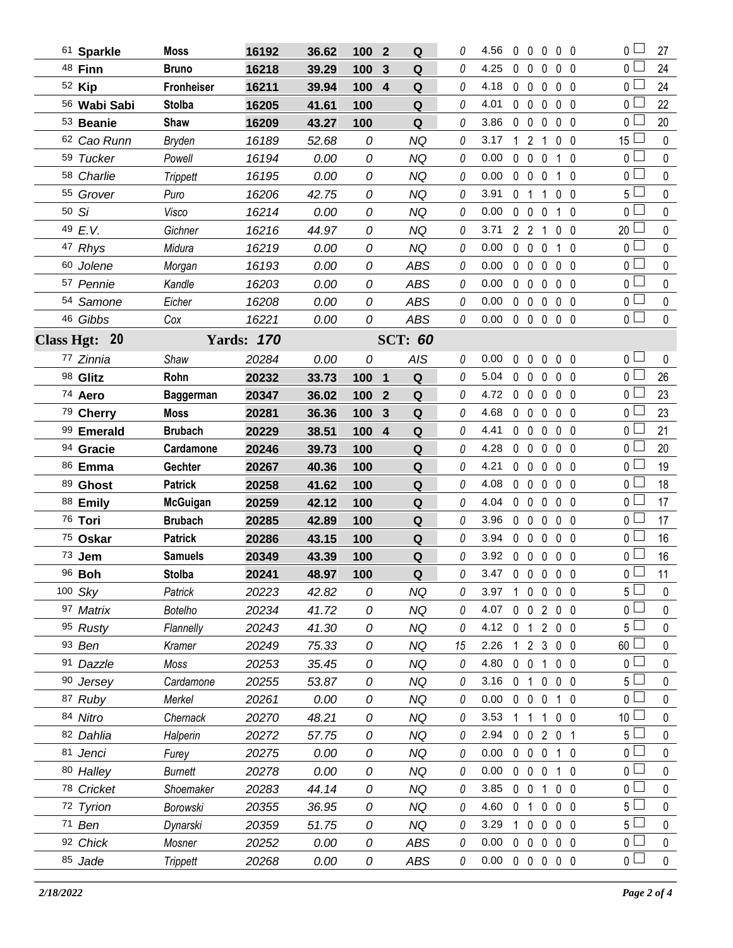| 61 Sparkle    | <b>Moss</b>      | 16192             | 36.62          | 100   | $\overline{2}$ | Q           | 0  | 4.56           | $\mathbf{0}$ | $\mathbf 0$       | 0                 | $0\quad 0$     | 0 L             | 27           |
|---------------|------------------|-------------------|----------------|-------|----------------|-------------|----|----------------|--------------|-------------------|-------------------|----------------|-----------------|--------------|
| 48 Finn       | <b>Bruno</b>     | 16218             | 39.29          | 100   | 3              | Q           | 0  | 4.25           | 0            | $\mathbf 0$       | $\mathbf{0}$      | 0 <sub>0</sub> | 0 <sup>1</sup>  | 24           |
| 52 Kip        | Fronheiser       | 16211             | 39.94          | 100   | $\overline{4}$ | Q           | 0  | 4.18           | $\mathbf{0}$ | $\overline{0}$    | 0                 | 0 <sub>0</sub> | 0 l             | 24           |
| 56 Wabi Sabi  | <b>Stolba</b>    | 16205             | 41.61          | 100   |                | ${\bf Q}$   | 0  | 4.01           |              | $0\quad 0$        | 0                 | 0 <sub>0</sub> | 0 <sub>0</sub>  | 22           |
| 53 Beanie     | Shaw             | 16209             | 43.27          | 100   |                | Q           | 0  | 3.86           | $\mathbf 0$  | $\mathbf 0$       | $\mathbf{0}$      | 0 <sub>0</sub> | 0 l             | 20           |
| 62 Cao Runn   | Bryden           | 16189             | 52.68          | 0     |                | <b>NQ</b>   | 0  | 3.17           | $\mathbf{1}$ | $\overline{2}$    | 1                 | 0 <sub>0</sub> | $15$ $-$        | $\pmb{0}$    |
| 59 Tucker     | Powell           | 16194             | 0.00           | 0     |                | <b>NQ</b>   | 0  | 0.00           | $\mathbf{0}$ | $\mathbf 0$       | 0                 | $1\quad0$      | 0 <sub>0</sub>  | 0            |
| 58 Charlie    | Trippett         | 16195             | 0.00           | 0     |                | <b>NQ</b>   | 0  | 0.00           |              | $0\quad 0$        | 0                 | $1\quad0$      | 0 <sub>l</sub>  | $\pmb{0}$    |
| 55 Grover     | Puro             | 16206             | 42.75          | 0     |                | <b>NQ</b>   | 0  | 3.91           |              | 0 <sub>1</sub>    | 1                 | 0 <sub>0</sub> | 5 L             | 0            |
| 50 Si         | Visco            | 16214             | 0.00           | 0     |                | <b>NQ</b>   | 0  | 0.00           | $\mathbf 0$  | $\mathbf 0$       | 0                 | $1\quad0$      | 0 <sub>0</sub>  | $\pmb{0}$    |
| 49 E.V.       | Gichner          | 16216             | 44.97          | 0     |                | <b>NQ</b>   | 0  | 3.71           |              | 2 <sub>2</sub>    | 1                 | $0\quad 0$     | 20              | 0            |
| 47 Rhys       | Midura           | 16219             | 0.00           | 0     |                | <b>NQ</b>   | 0  | 0.00           | $\mathbf{0}$ | $\mathbf 0$       | $\mathbf 0$       | $1\quad0$      | 0 <sub>0</sub>  | $\pmb{0}$    |
| 60 Jolene     | Morgan           | 16193             | 0.00           | 0     |                | ABS         | 0  | 0.00           | $\mathbf{0}$ | $\mathbf 0$       | $\mathbf 0$       | 0 <sub>0</sub> | 0 <sup>1</sup>  | 0            |
| 57 Pennie     | Kandle           | 16203             | 0.00           | 0     |                | <b>ABS</b>  | 0  | 0.00           | $\mathbf 0$  | $\mathbf 0$       | 0                 | $0\quad 0$     | 0 <sub>0</sub>  | $\pmb{0}$    |
| 54 Samone     | Eicher           | 16208             | 0.00           | 0     |                | <b>ABS</b>  | 0  | 0.00           |              | $0\quad 0$        | 0                 | 0 <sub>0</sub> | $0-$            | 0            |
| 46 Gibbs      | Cox              | 16221             | 0.00           | 0     |                | ABS         | 0  | 0.00           |              |                   | 00000             |                | $\overline{0}$  | $\mathbf 0$  |
| Class Hgt: 20 |                  | <b>Yards: 170</b> | <b>SCT: 60</b> |       |                |             |    |                |              |                   |                   |                |                 |              |
| 77 Zinnia     | Shaw             | 20284             | 0.00           | 0     |                | <b>AIS</b>  | 0  | 0.00           | $\mathbf 0$  | $\mathbf 0$       | $\mathbf 0$       | 0 <sub>0</sub> | 0 <sub>0</sub>  | $\pmb{0}$    |
| 98 Glitz      | Rohn             | 20232             | 33.73          | 100 1 |                | Q           | 0  | 5.04           |              |                   | $0\quad 0\quad 0$ | 0 <sub>0</sub> | 0 <sup>1</sup>  | 26           |
| 74 Aero       | <b>Baggerman</b> | 20347             | 36.02          | 100   | $\mathbf{2}$   | Q           | 0  | 4.72           | $\mathbf 0$  | $\mathbf 0$       | $\mathbf 0$       | 0 <sub>0</sub> | 0 l             | 23           |
| 79 Cherry     | <b>Moss</b>      | 20281             | 36.36          | 100   | 3              | Q           | 0  | 4.68           | $\mathbf 0$  | $0\quad 0$        |                   | $0\quad 0$     | 0 <sup>1</sup>  | 23           |
| 99 Emerald    | <b>Brubach</b>   | 20229             | 38.51          | 100   | $\overline{4}$ | Q           | 0  | 4.41           |              | $0\quad 0\quad 0$ |                   | $0\quad 0$     | 0 L             | 21           |
| 94 Gracie     | Cardamone        | 20246             | 39.73          | 100   |                | Q           | 0  | 4.28           |              | $0\quad 0\quad 0$ |                   | $0\quad 0$     | 0 <sup>1</sup>  | 20           |
| 86 Emma       | Gechter          | 20267             | 40.36          | 100   |                | Q           | 0  | 4.21           |              | $0\quad 0$        | 0                 | 0 <sub>0</sub> | 0 l             | 19           |
| 89 Ghost      | <b>Patrick</b>   | 20258             | 41.62          | 100   |                | Q           | 0  | 4.08           |              | $0\quad 0\quad 0$ |                   | $0\quad 0$     | 0 <sub>0</sub>  | 18           |
| 88 Emily      | <b>McGuigan</b>  | 20259             | 42.12          | 100   |                | Q           | 0  | 4.04           |              | $0\quad 0\quad 0$ |                   | $0\quad 0$     | 0 l             | 17           |
| 76 Tori       | <b>Brubach</b>   | 20285             | 42.89          | 100   |                | Q           | 0  | 3.96           |              | $0\quad 0\quad 0$ |                   | 0 <sub>0</sub> | 0 <sup>1</sup>  | 17           |
| 75 Oskar      | <b>Patrick</b>   | 20286             | 43.15          | 100   |                | Q           | 0  | 3.94           |              | $0\quad 0\quad 0$ |                   | 0 <sub>0</sub> | 0 <sub>0</sub>  | 16           |
| 73 Jem        | <b>Samuels</b>   | 20349             | 43.39          | 100   |                | $\mathbf Q$ | 0  | 3.92 0 0 0 0 0 |              |                   |                   |                | 0 <sub>0</sub>  | 16           |
| 96 <b>Boh</b> | <b>Stolba</b>    | 20241             | 48.97          | 100   |                | $\mathbf Q$ | 0  | 3.47 0 0 0 0 0 |              |                   |                   |                | 0 l             | 11           |
| 100 Sky       | Patrick          | 20223             | 42.82          | 0     |                | NQ          | 0  | 3.97           |              |                   | 10000             |                | 5 l             | $\mathbf{0}$ |
| 97 Matrix     | <b>Botelho</b>   | 20234             | 41.72          | 0     |                | <b>NQ</b>   | 0  | 4.07           |              |                   | 0 0 2 0 0         |                | 0 l             | 0            |
| 95 Rusty      | Flannelly        | 20243             | 41.30          | 0     |                | <b>NQ</b>   | 0  | 4.12 $0 \t1$   |              |                   | 2 0 0             |                | 5 L             | 0            |
| 93 Ben        | Kramer           | 20249             | 75.33          | 0     |                | NQ          | 15 | 2.26           |              |                   | 1 2 3 0 0         |                | 60 <sup>1</sup> | 0            |
| 91 Dazzle     | Moss             | 20253             | 35.45          | 0     |                | <b>NQ</b>   | 0  | 4.80           | $\mathbf 0$  |                   | 0 1 0 0           |                | 0 <sup>1</sup>  | 0            |
| 90 Jersey     | Cardamone        | 20255             | 53.87          | 0     |                | <b>NQ</b>   | 0  | 3.16           |              | 0 <sub>1</sub>    | $\mathbf{0}$      | $0\quad 0$     | 5 <sup>1</sup>  | 0            |
| 87 Ruby       | Merkel           | 20261             | 0.00           | 0     |                | <b>NQ</b>   | 0  | 0.00           |              | $0\quad 0\quad 0$ |                   | $1\quad0$      | 0 L             | 0            |
| 84 Nitro      | Chernack         | 20270             | 48.21          | 0     |                | <b>NQ</b>   | 0  | 3.53           |              | $1\quad1$         | $\mathbf{1}$      | $0\quad 0$     | 10 <sup>L</sup> | 0            |
| 82 Dahlia     | Halperin         | 20272             | 57.75          | 0     |                | NQ          | 0  | 2.94           |              |                   | 0 0 2 0 1         |                | 5 <sub>1</sub>  | 0            |
| 81 Jenci      | Furey            | 20275             | 0.00           | 0     |                | <b>NQ</b>   | 0  | 0.00           |              | $0\quad 0\quad 0$ |                   | 1 0            | 0 l             | 0            |
| 80 Halley     | <b>Burnett</b>   | 20278             | 0.00           | 0     |                | <b>NQ</b>   | 0  | 0.00           |              | $0\quad 0\quad 0$ |                   | $1\quad0$      | 0 <sub>0</sub>  | 0            |
| 78 Cricket    | Shoemaker        | 20283             | 44.14          | 0     |                | NQ          | 0  | 3.85           |              | $0\quad 0$        | 1                 | $0\quad 0$     | 0 l             | 0            |
| 72 Tyrion     | Borowski         | 20355             | 36.95          | 0     |                | NQ          | 0  | 4.60           |              |                   | 0 1 0 0 0         |                | 5 <sub>1</sub>  | 0            |
| 71 Ben        | Dynarski         | 20359             | 51.75          | 0     |                | NQ          | 0  | 3.29           |              | 1 0 0             |                   | $0\quad 0$     | 5 <sup>1</sup>  | 0            |
| 92 Chick      | Mosner           | 20252             | 0.00           | 0     |                | ABS         | 0  | 0.00           |              |                   | 00000             |                | 0 <sub>0</sub>  | $\pmb{0}$    |
| 85 Jade       | <b>Trippett</b>  | 20268             | 0.00           | 0     |                | ABS         | 0  | 0.00           |              |                   | 00000             |                | $0-$            | $\pmb{0}$    |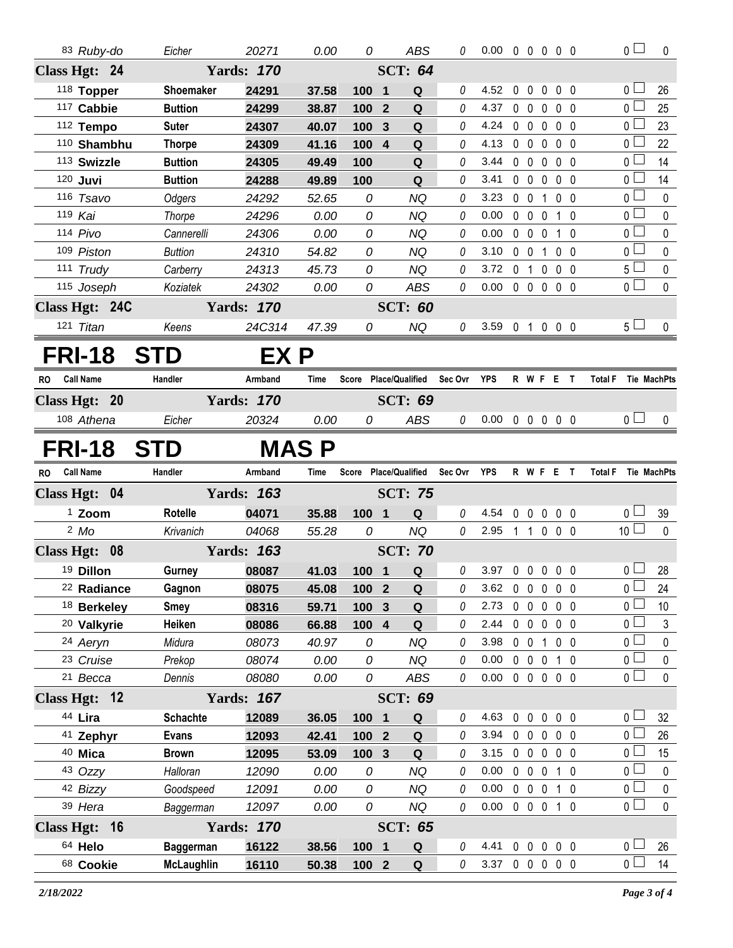|    | 83 Ruby-do             | Eicher                                | 20271             | 0.00         | 0               | ABS                           | 0           | $0.00 \t0 \t0 \t0 \t0 \t0$ |             |                        |                |                |                     | $\overline{0}$                          | 0                |
|----|------------------------|---------------------------------------|-------------------|--------------|-----------------|-------------------------------|-------------|----------------------------|-------------|------------------------|----------------|----------------|---------------------|-----------------------------------------|------------------|
|    | Class Hgt: 24          |                                       | <b>Yards: 170</b> |              |                 | <b>SCT: 64</b>                |             |                            |             |                        |                |                |                     |                                         |                  |
|    | 118 Topper             | Shoemaker                             | 24291             | 37.58        | 100 1           | Q                             | 0           | 4.52                       | $\mathbf 0$ | $\mathbf 0$            | $\overline{0}$ | $0\quad 0$     |                     | 0 <sub>1</sub>                          | 26               |
|    | 117 Cabbie             | <b>Buttion</b>                        | 24299             | 38.87        | 100             | Q<br>$\overline{2}$           | 0           | 4.37                       | $0\quad 0$  |                        | $\mathbf 0$    | $0\quad 0$     |                     | 0 <sup>1</sup>                          | 25               |
|    | 112 Tempo              | <b>Suter</b>                          | 24307             | 40.07        | 100             | Q<br>$\mathbf{3}$             | 0           | 4.24                       |             |                        | 00000          |                |                     | 0 <sub>1</sub>                          | 23               |
|    | 110 Shambhu            | <b>Thorpe</b>                         | 24309             | 41.16        | 100             | $\overline{4}$<br>Q           | 0           | 4.13                       |             | $0\quad 0\quad 0$      |                | $0\quad 0$     |                     | 0 <sub>1</sub>                          | 22               |
|    | 113 Swizzle            | <b>Buttion</b>                        | 24305             | 49.49        | 100             | Q                             | 0           | 3.44                       |             | $0\quad 0\quad 0$      |                | $0\quad 0$     |                     | 0 <sub>0</sub>                          | 14               |
|    | 120 Juvi               | <b>Buttion</b>                        | 24288             | 49.89        | 100             | ${\bf Q}$                     | 0           | 3.41                       |             | $0\quad 0\quad 0\quad$ |                | $0\quad 0$     |                     | 0 <sub>1</sub>                          | 14               |
|    | 116 Tsavo              | Odgers                                | 24292             | 52.65        | 0               | <b>NQ</b>                     | 0           | 3.23                       | $0\quad 0$  |                        | 1 0 0          |                |                     | 0 <sup>1</sup>                          | 0                |
|    | 119 Kai                | Thorpe                                | 24296             | 0.00         | 0               | NQ                            | 0           | 0.00                       |             |                        | 0 0 0 1 0      |                |                     | 0 <sub>0</sub>                          | 0                |
|    | 114 Pivo               | Cannerelli                            | 24306             | 0.00         | 0               | <b>NQ</b>                     | 0           | 0.00                       |             |                        | 0 0 0 1 0      |                |                     | $0-$                                    | $\pmb{0}$        |
|    | 109 Piston             | <b>Buttion</b>                        | 24310             | 54.82        | 0               | NQ                            | 0           | 3.10                       | $0\quad 0$  |                        | $\mathbf{1}$   | $0\quad 0$     |                     | 0 <sub>0</sub>                          | 0                |
|    | 111 Trudy              | Carberry                              | 24313             | 45.73        | 0               | <b>NQ</b>                     | 0           | 3.72                       |             |                        | 0 1 0 0 0      |                |                     | $5 -$                                   | 0                |
|    | 115 Joseph             | Koziatek                              | 24302             | 0.00         | 0               | <b>ABS</b>                    | 0           | 0.00                       |             |                        | 00000          |                |                     | 0 <sup>1</sup>                          | 0                |
|    | Class Hgt: 24C         |                                       | <b>Yards: 170</b> |              |                 | <b>SCT: 60</b>                |             |                            |             |                        |                |                |                     |                                         |                  |
|    | 121 Titan              | Keens                                 | 24C314            | 47.39        | 0               | <b>NQ</b>                     | 0           | 3.59 0 1 0 0 0             |             |                        |                |                |                     | 5 <sub>1</sub>                          | 0                |
|    | <b>FRI-18</b>          | <b>STD</b>                            | EX P              |              |                 |                               |             |                            |             |                        |                |                |                     |                                         |                  |
| RO | <b>Call Name</b>       | Handler                               | Armband           | Time         |                 | Score Place/Qualified         | Sec Ovr YPS |                            |             |                        | R W F E T      |                | Total F Tie MachPts |                                         |                  |
|    | Class Hgt: 20          |                                       | <b>Yards: 170</b> |              |                 | <b>SCT: 69</b>                |             |                            |             |                        |                |                |                     |                                         |                  |
|    | 108 Athena             | Eicher                                | 20324             | 0.00         | 0               | <b>ABS</b>                    | 0           | 0.00                       |             |                        | 00000          |                |                     | 0 <sub>l</sub>                          | 0                |
|    | <b>FRI-18</b>          | <b>STD</b>                            |                   | <b>MAS P</b> |                 |                               |             |                            |             |                        |                |                |                     |                                         |                  |
|    |                        |                                       |                   |              |                 |                               |             |                            |             |                        |                |                |                     |                                         |                  |
| RO | <b>Call Name</b>       | Handler                               | Armband           | Time         |                 | Score Place/Qualified         | Sec Ovr     | YPS                        |             |                        | R W F E T      |                | <b>Total F</b>      |                                         |                  |
|    | Class Hgt: 04          |                                       | <b>Yards: 163</b> |              |                 | <b>SCT: 75</b>                |             |                            |             |                        |                |                |                     |                                         |                  |
|    | <sup>1</sup> Zoom      | <b>Rotelle</b>                        | 04071             | 35.88        | 100 1           | $\mathbf Q$                   | 0           | 4.54                       |             |                        | 0 0 0 0 0      |                |                     | 0 <sub>0</sub>                          | 39               |
|    | $2$ Mo                 | Krivanich                             | 04068             | 55.28        | 0               | <b>NQ</b>                     | $\theta$    | 2.95                       |             |                        | 1 1 0 0 0      |                |                     | 10 <sup>1</sup>                         | $\Omega$         |
|    | Class Hgt: 08          |                                       | <b>Yards: 163</b> |              |                 | <b>SCT: 70</b>                |             |                            |             |                        |                |                |                     |                                         |                  |
|    | 19 Dillon              | Gurney                                | 08087             | 41.03        | 100 1           | Q                             | $\theta$    | 3.97 0 0 0                 |             |                        |                | $0\quad 0$     |                     | 0 <sub>1</sub>                          | 28               |
|    | <sup>22</sup> Radiance | Gagnon                                | 08075             | 45.08        | 100             | $\overline{2}$<br>$\mathbf Q$ | 0           | 3.62                       | $\pmb{0}$   | $\mathbf 0$            | $\pmb{0}$      | 0 <sub>0</sub> |                     | 0 <sub>1</sub>                          | 24               |
|    | <sup>18</sup> Berkeley | <b>Smey</b>                           | 08316             | 59.71        | 100             | $\mathbf{3}$<br>$\mathbf Q$   | 0           | 2.73                       | $\mathbf 0$ | $\mathbf 0$            | $\mathbf 0$    | $0\quad 0$     |                     | 0 <sup>1</sup>                          | 10               |
|    | <sup>20</sup> Valkyrie | Heiken                                | 08086             | 66.88        | 100 4           | $\mathbf Q$                   | 0           | 2.44                       | $0\quad 0$  |                        | $\mathbf 0$    | $0\quad 0$     |                     | 0 <sub>0</sub>                          | 3                |
|    | 24 Aeryn               | Midura                                | 08073             | 40.97        | 0               | <b>NQ</b>                     | 0           | 3.98                       | $0\quad 0$  |                        | $\mathbf{1}$   | $0\quad 0$     |                     | 0 l                                     | Tie MachPts<br>0 |
|    | 23 Cruise              | Prekop                                | 08074             | 0.00         | 0               | <b>NQ</b>                     | 0           | 0.00                       | $0\quad 0$  |                        | $\overline{0}$ | $1\quad0$      |                     | 0 <sub>0</sub>                          | 0                |
|    | <sup>21</sup> Becca    | Dennis                                | 08080             | 0.00         | 0               | <b>ABS</b>                    | 0           | 0.00                       |             | $0\quad 0\quad 0$      |                | $0\quad 0$     |                     | 0 <sup>1</sup>                          | $\pmb{0}$        |
|    | Class Hgt: 12          |                                       | <b>Yards: 167</b> |              |                 | <b>SCT: 69</b>                |             |                            |             |                        |                |                |                     |                                         |                  |
|    | 44 Lira                | <b>Schachte</b>                       | 12089             | 36.05        | 100 1           | Q                             | 0           | 4.63                       | 0           | $\mathbf 0$            | 0              | $0\quad 0$     |                     | 0 <sub>l</sub>                          | 32               |
|    | 41 Zephyr              | <b>Evans</b>                          | 12093             | 42.41        | $1002$          | $\mathbf Q$                   | 0           | 3.94                       | $0\quad 0$  |                        | $\mathbf 0$    | $0\quad 0$     |                     | 0 <sub>0</sub>                          | 26               |
|    | 40 Mica                | <b>Brown</b>                          | 12095             | 53.09        | 100 3           | Q                             | 0           | 3.15                       | $0\quad 0$  |                        | $\mathbf 0$    | $0\quad 0$     |                     | 0 <sub>0</sub>                          | 15               |
|    | 43 Ozzy                | Halloran                              | 12090             | 0.00         | 0               | <b>NQ</b>                     | 0           | 0.00                       | $0\quad 0$  |                        | $\overline{0}$ | $1\quad0$      |                     | 0 l                                     | 0                |
|    | 42 Bizzy               | Goodspeed                             | 12091             | 0.00         | 0               | <b>NQ</b>                     | 0           | 0.00                       | $0\quad 0$  |                        | $\mathbf 0$    | $1\quad0$      |                     | 0 <sub>0</sub>                          | 0                |
|    | 39 Hera                | Baggerman                             | 12097             | 0.00         | 0               | <b>NQ</b>                     | 0           | 0.00                       |             | $0\quad 0\quad 0$      |                | $1\quad0$      |                     | $\overline{0}$                          | $\pmb{0}$        |
|    | Class Hgt: 16          |                                       | <b>Yards: 170</b> |              |                 | <b>SCT: 65</b>                |             |                            |             |                        |                |                |                     |                                         |                  |
|    | 64 Helo<br>68 Cookie   | <b>Baggerman</b><br><b>McLaughlin</b> | 16122             | 38.56        | 100 1<br>$1002$ | Q<br>$\mathbf Q$              | 0<br>0      | 4.41<br>3.37 0 0 0 0 0     | $\mathbf 0$ | $\mathbf 0$            | $\mathbf 0$    | $0\quad 0$     |                     | 0 <sub>0</sub><br>$\overline{0}$ $\Box$ | 26<br>14         |